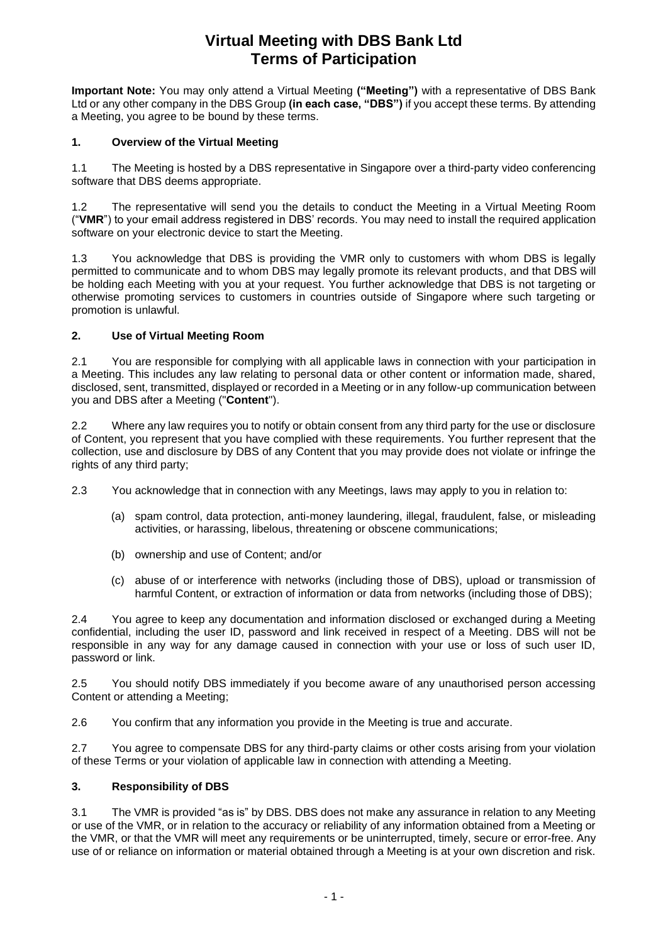## **Virtual Meeting with DBS Bank Ltd Terms of Participation**

**Important Note:** You may only attend a Virtual Meeting **("Meeting")** with a representative of DBS Bank Ltd or any other company in the DBS Group **(in each case, "DBS")** if you accept these terms. By attending a Meeting, you agree to be bound by these terms.

## **1. Overview of the Virtual Meeting**

1.1 The Meeting is hosted by a DBS representative in Singapore over a third-party video conferencing software that DBS deems appropriate.

1.2 The representative will send you the details to conduct the Meeting in a Virtual Meeting Room ("**VMR**") to your email address registered in DBS' records. You may need to install the required application software on your electronic device to start the Meeting.

1.3 You acknowledge that DBS is providing the VMR only to customers with whom DBS is legally permitted to communicate and to whom DBS may legally promote its relevant products, and that DBS will be holding each Meeting with you at your request. You further acknowledge that DBS is not targeting or otherwise promoting services to customers in countries outside of Singapore where such targeting or promotion is unlawful.

## **2. Use of Virtual Meeting Room**

2.1 You are responsible for complying with all applicable laws in connection with your participation in a Meeting. This includes any law relating to personal data or other content or information made, shared, disclosed, sent, transmitted, displayed or recorded in a Meeting or in any follow-up communication between you and DBS after a Meeting ("**Content**").

2.2 Where any law requires you to notify or obtain consent from any third party for the use or disclosure of Content, you represent that you have complied with these requirements. You further represent that the collection, use and disclosure by DBS of any Content that you may provide does not violate or infringe the rights of any third party;

2.3 You acknowledge that in connection with any Meetings, laws may apply to you in relation to:

- (a) spam control, data protection, anti-money laundering, illegal, fraudulent, false, or misleading activities, or harassing, libelous, threatening or obscene communications;
- (b) ownership and use of Content; and/or
- (c) abuse of or interference with networks (including those of DBS), upload or transmission of harmful Content, or extraction of information or data from networks (including those of DBS);

2.4 You agree to keep any documentation and information disclosed or exchanged during a Meeting confidential, including the user ID, password and link received in respect of a Meeting. DBS will not be responsible in any way for any damage caused in connection with your use or loss of such user ID, password or link.

2.5 You should notify DBS immediately if you become aware of any unauthorised person accessing Content or attending a Meeting;

2.6 You confirm that any information you provide in the Meeting is true and accurate.

2.7 You agree to compensate DBS for any third-party claims or other costs arising from your violation of these Terms or your violation of applicable law in connection with attending a Meeting.

## **3. Responsibility of DBS**

3.1 The VMR is provided "as is" by DBS. DBS does not make any assurance in relation to any Meeting or use of the VMR, or in relation to the accuracy or reliability of any information obtained from a Meeting or the VMR, or that the VMR will meet any requirements or be uninterrupted, timely, secure or error-free. Any use of or reliance on information or material obtained through a Meeting is at your own discretion and risk.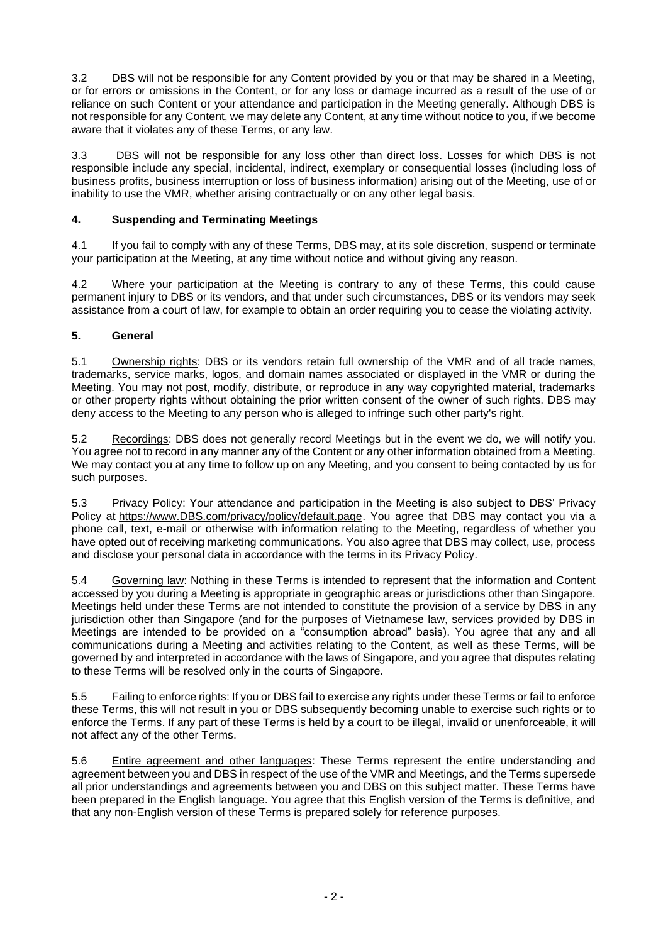3.2 DBS will not be responsible for any Content provided by you or that may be shared in a Meeting, or for errors or omissions in the Content, or for any loss or damage incurred as a result of the use of or reliance on such Content or your attendance and participation in the Meeting generally. Although DBS is not responsible for any Content, we may delete any Content, at any time without notice to you, if we become aware that it violates any of these Terms, or any law.

3.3 DBS will not be responsible for any loss other than direct loss. Losses for which DBS is not responsible include any special, incidental, indirect, exemplary or consequential losses (including loss of business profits, business interruption or loss of business information) arising out of the Meeting, use of or inability to use the VMR, whether arising contractually or on any other legal basis.

## **4. Suspending and Terminating Meetings**

4.1 If you fail to comply with any of these Terms, DBS may, at its sole discretion, suspend or terminate your participation at the Meeting, at any time without notice and without giving any reason.

4.2 Where your participation at the Meeting is contrary to any of these Terms, this could cause permanent injury to DBS or its vendors, and that under such circumstances, DBS or its vendors may seek assistance from a court of law, for example to obtain an order requiring you to cease the violating activity.

## **5. General**

5.1 Ownership rights: DBS or its vendors retain full ownership of the VMR and of all trade names, trademarks, service marks, logos, and domain names associated or displayed in the VMR or during the Meeting. You may not post, modify, distribute, or reproduce in any way copyrighted material, trademarks or other property rights without obtaining the prior written consent of the owner of such rights. DBS may deny access to the Meeting to any person who is alleged to infringe such other party's right.

5.2 Recordings: DBS does not generally record Meetings but in the event we do, we will notify you. You agree not to record in any manner any of the Content or any other information obtained from a Meeting. We may contact you at any time to follow up on any Meeting, and you consent to being contacted by us for such purposes.

5.3 Privacy Policy: Your attendance and participation in the Meeting is also subject to DBS' Privacy Policy at https://www.DBS.com/privacy/policy/default.page. You agree that DBS may contact you via a phone call, text, e-mail or otherwise with information relating to the Meeting, regardless of whether you have opted out of receiving marketing communications. You also agree that DBS may collect, use, process and disclose your personal data in accordance with the terms in its Privacy Policy.

5.4 Governing law: Nothing in these Terms is intended to represent that the information and Content accessed by you during a Meeting is appropriate in geographic areas or jurisdictions other than Singapore. Meetings held under these Terms are not intended to constitute the provision of a service by DBS in any jurisdiction other than Singapore (and for the purposes of Vietnamese law, services provided by DBS in Meetings are intended to be provided on a "consumption abroad" basis). You agree that any and all communications during a Meeting and activities relating to the Content, as well as these Terms, will be governed by and interpreted in accordance with the laws of Singapore, and you agree that disputes relating to these Terms will be resolved only in the courts of Singapore.

5.5 Failing to enforce rights: If you or DBS fail to exercise any rights under these Terms or fail to enforce these Terms, this will not result in you or DBS subsequently becoming unable to exercise such rights or to enforce the Terms. If any part of these Terms is held by a court to be illegal, invalid or unenforceable, it will not affect any of the other Terms.

5.6 Entire agreement and other languages: These Terms represent the entire understanding and agreement between you and DBS in respect of the use of the VMR and Meetings, and the Terms supersede all prior understandings and agreements between you and DBS on this subject matter. These Terms have been prepared in the English language. You agree that this English version of the Terms is definitive, and that any non-English version of these Terms is prepared solely for reference purposes.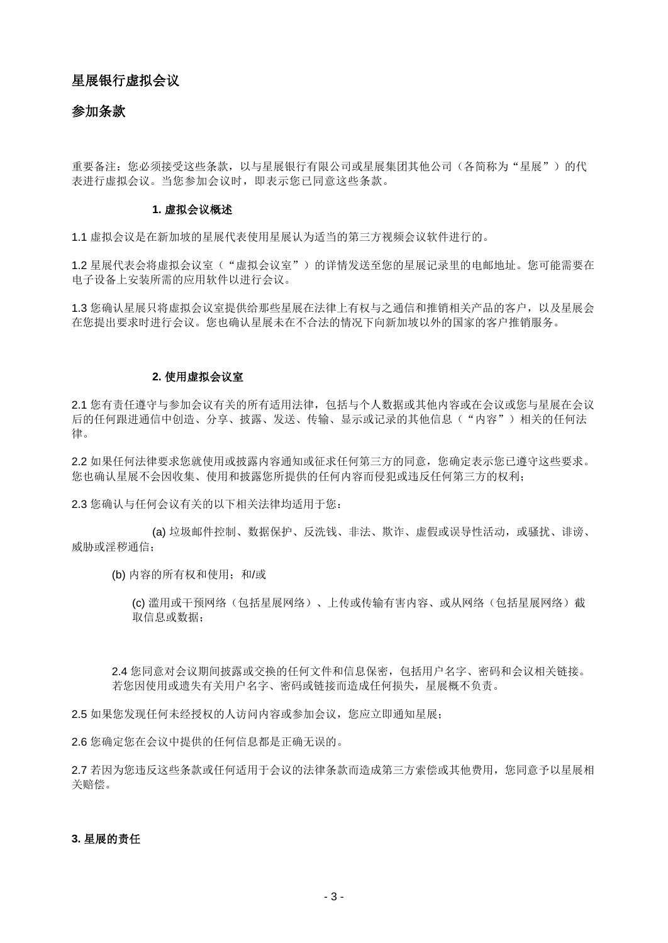## 星展银行虚拟会议

## 参加条款

重要备注:您必须接受这些条款,以与星展银行有限公司或星展集团其他公司(各简称为"星展")的代 表进行虚拟会议。当您参加会议时,即表示您已同意这些条款。

## **1.** 虚拟会议概述

1.1 虚拟会议是在新加坡的星展代表使用星展认为适当的第三方视频会议软件进行的。

1.2 星展代表会将虚拟会议室("虚拟会议室")的详情发送至您的星展记录里的电邮地址。您可能需要在 电子设备上安装所需的应用软件以进行会议。

1.3 您确认星展只将虚拟会议室提供给那些星展在法律上有权与之通信和推销相关产品的客户,以及星展会 在您提出要求时进行会议。您也确认星展未在不合法的情况下向新加坡以外的国家的客户推销服务。

## **2.** 使用虚拟会议室

2.1 您有责任遵守与参加会议有关的所有适用法律,包括与个人数据或其他内容或在会议或您与星展在会议 后的任何跟进通信中创造、分享、披露、发送、传输、显示或记录的其他信息("内容")相关的任何法 律。

2.2 如果任何法律要求您就使用或披露内容通知或征求任何第三方的同意,您确定表示您已遵守这些要求。 您也确认星展不会因收集、使用和披露您所提供的任何内容而侵犯或违反任何第三方的权利;

2.3 您确认与任何会议有关的以下相关法律均适用于您:

(a) 垃圾邮件控制、数据保护、反洗钱、非法、欺诈、虚假或误导性活动,或骚扰、诽谤、 威胁或淫秽通信;

(b) 内容的所有权和使用; 和/或

(c) 滥用或干预网络(包括星展网络)、上传或传输有害内容、或从网络(包括星展网络)截 取信息或数据;

2.4 您同意对会议期间披露或交换的任何文件和信息保密,包括用户名字、密码和会议相关链接。 若您因使用或遗失有关用户名字、密码或链接而造成任何损失,星展概不负责。

2.5 如果您发现任何未经授权的人访问内容或参加会议,您应立即通知星展;

2.6 您确定您在会议中提供的任何信息都是正确无误的。

2.7 若因为您违反这些条款或任何适用于会议的法律条款而造成第三方索偿或其他费用,您同意予以星展相 关赔偿。

## **3.** 星展的责任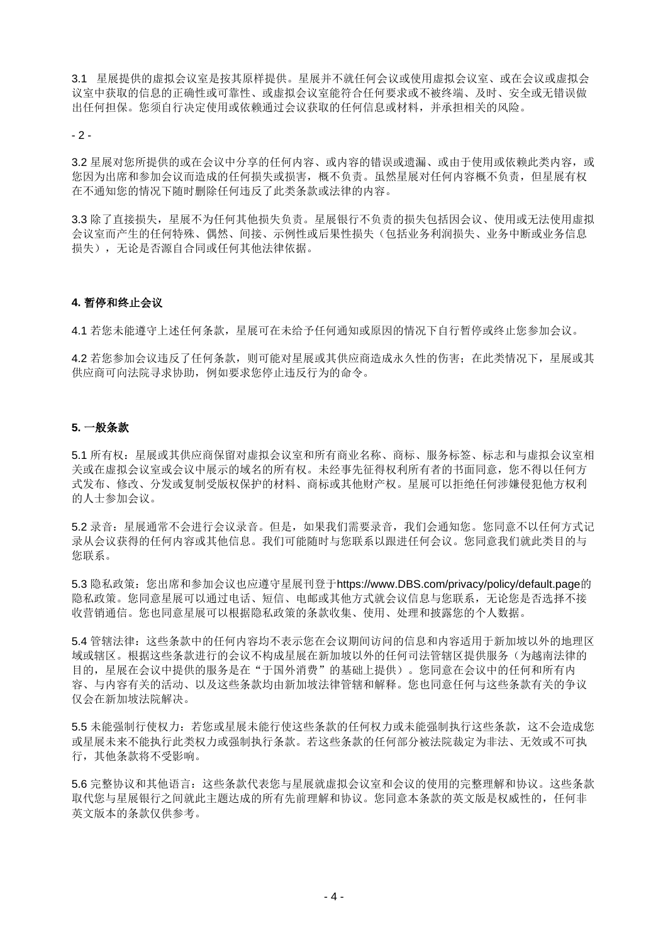3.1 星展提供的虚拟会议室是按其原样提供。星展并不就任何会议或使用虚拟会议室、或在会议或虚拟会 议室中获取的信息的正确性或可靠性、或虚拟会议室能符合任何要求或不被终端、及时、安全或无错误做 出任何担保。您须自行决定使用或依赖通过会议获取的任何信息或材料,并承担相关的风险。

 $-2 -$ 

3.2 星展对您所提供的或在会议中分享的任何内容、或内容的错误或遗漏、或由于使用或依赖此类内容,或 您因为出席和参加会议而造成的任何损失或损害,概不负责。虽然星展对任何内容概不负责,但星展有权 在不通知您的情况下随时删除任何违反了此类条款或法律的内容。

3.3 除了直接损失,星展不为任何其他损失负责。星展银行不负责的损失包括因会议、使用或无法使用虚拟 会议室而产生的任何特殊、偶然、间接、示例性或后果性损失(包括业务利润损失、业务中断或业务信息 损失),无论是否源自合同或任何其他法律依据。

## **4.** 暂停和终止会议

4.1 若您未能遵守上述任何条款,星展可在未给予任何通知或原因的情况下自行暂停或终止您参加会议。

4.2 若您参加会议违反了任何条款,则可能对星展或其供应商造成永久性的伤害;在此类情况下,星展或其 供应商可向法院寻求协助,例如要求您停止违反行为的命令。

## **5.** 一般条款

5.1 所有权:星展或其供应商保留对虚拟会议室和所有商业名称、商标、服务标签、标志和与虚拟会议室相 关或在虚拟会议室或会议中展示的域名的所有权。未经事先征得权利所有者的书面同意,您不得以任何方 式发布、修改、分发或复制受版权保护的材料、商标或其他财产权。星展可以拒绝任何涉嫌侵犯他方权利 的人士参加会议。

5.2 录音:星展通常不会进行会议录音。但是,如果我们需要录音,我们会通知您。您同意不以任何方式记 录从会议获得的任何内容或其他信息。我们可能随时与您联系以跟进任何会议。您同意我们就此类目的与 您联系。

5.3 隐私政策: 您出席和参加会议也应遵守星展刊登于https://www.DBS.com/privacy/policy/default.page的 隐私政策。您同意星展可以通过电话、短信、电邮或其他方式就会议信息与您联系,无论您是否选择不接 收营销通信。您也同意星展可以根据隐私政策的条款收集、使用、处理和披露您的个人数据。

5.4 管辖法律:这些条款中的任何内容均不表示您在会议期间访问的信息和内容适用于新加坡以外的地理区 域或辖区。根据这些条款进行的会议不构成星展在新加坡以外的任何司法管辖区提供服务(为越南法律的 目的,星展在会议中提供的服务是在"于国外消费"的基础上提供)。您同意在会议中的任何和所有内 容、与内容有关的活动、以及这些条款均由新加坡法律管辖和解释。您也同意任何与这些条款有关的争议 仅会在新加坡法院解决。

5.5 未能强制行使权力:若您或星展未能行使这些条款的任何权力或未能强制执行这些条款,这不会造成您 或星展未来不能执行此类权力或强制执行条款。若这些条款的任何部分被法院裁定为非法、无效或不可执 行,其他条款将不受影响。

5.6 完整协议和其他语言:这些条款代表您与星展就虚拟会议室和会议的使用的完整理解和协议。这些条款 取代您与星展银行之间就此主题达成的所有先前理解和协议。您同意本条款的英文版是权威性的,任何非 英文版本的条款仅供参考。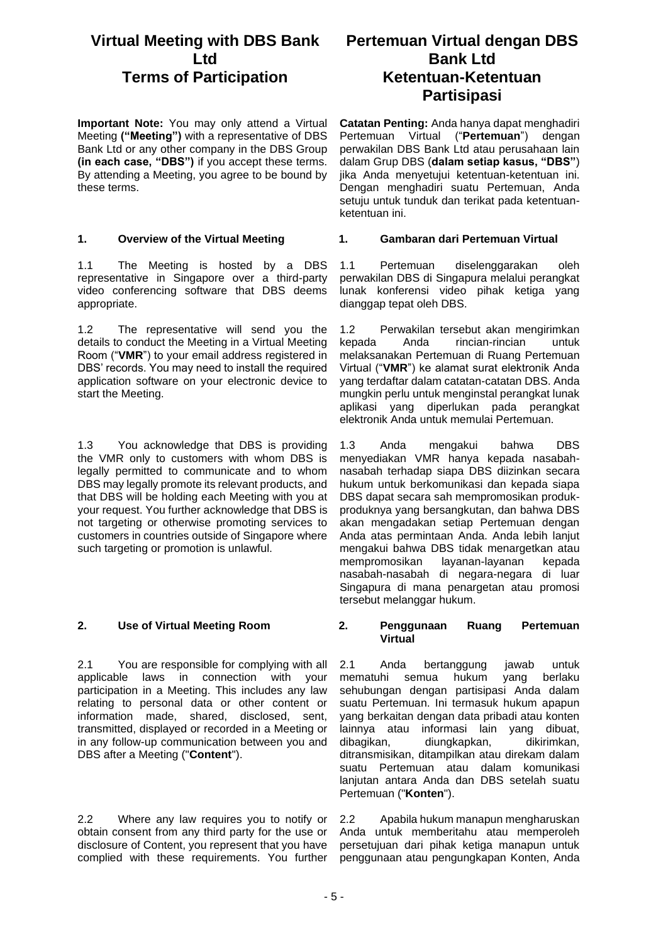## **Virtual Meeting with DBS Bank Ltd Terms of Participation Ketentuan-Ketentuan**

**Important Note:** You may only attend a Virtual Meeting **("Meeting")** with a representative of DBS Bank Ltd or any other company in the DBS Group **(in each case, "DBS")** if you accept these terms. By attending a Meeting, you agree to be bound by these terms.

1.1 The Meeting is hosted by a DBS representative in Singapore over a third-party video conferencing software that DBS deems appropriate.

1.2 The representative will send you the details to conduct the Meeting in a Virtual Meeting Room ("**VMR**") to your email address registered in DBS' records. You may need to install the required application software on your electronic device to start the Meeting.

1.3 You acknowledge that DBS is providing the VMR only to customers with whom DBS is legally permitted to communicate and to whom DBS may legally promote its relevant products, and that DBS will be holding each Meeting with you at your request. You further acknowledge that DBS is not targeting or otherwise promoting services to customers in countries outside of Singapore where such targeting or promotion is unlawful.

2.1 You are responsible for complying with all applicable laws in connection with your participation in a Meeting. This includes any law relating to personal data or other content or information made, shared, disclosed, sent, transmitted, displayed or recorded in a Meeting or in any follow-up communication between you and DBS after a Meeting ("**Content**").

2.2 Where any law requires you to notify or obtain consent from any third party for the use or disclosure of Content, you represent that you have complied with these requirements. You further

# **Pertemuan Virtual dengan DBS Bank Ltd Partisipasi**

**Catatan Penting:** Anda hanya dapat menghadiri Pertemuan Virtual ("**Pertemuan**") dengan perwakilan DBS Bank Ltd atau perusahaan lain dalam Grup DBS (**dalam setiap kasus, "DBS"**) jika Anda menyetujui ketentuan-ketentuan ini. Dengan menghadiri suatu Pertemuan, Anda setuju untuk tunduk dan terikat pada ketentuanketentuan ini.

## **1. Overview of the Virtual Meeting 1. Gambaran dari Pertemuan Virtual**

1.1 Pertemuan diselenggarakan oleh perwakilan DBS di Singapura melalui perangkat lunak konferensi video pihak ketiga yang dianggap tepat oleh DBS.

1.2 Perwakilan tersebut akan mengirimkan kepada Anda rincian-rincian untuk melaksanakan Pertemuan di Ruang Pertemuan Virtual ("**VMR**") ke alamat surat elektronik Anda yang terdaftar dalam catatan-catatan DBS. Anda mungkin perlu untuk menginstal perangkat lunak aplikasi yang diperlukan pada perangkat elektronik Anda untuk memulai Pertemuan.

1.3 Anda mengakui bahwa DBS menyediakan VMR hanya kepada nasabahnasabah terhadap siapa DBS diizinkan secara hukum untuk berkomunikasi dan kepada siapa DBS dapat secara sah mempromosikan produkproduknya yang bersangkutan, dan bahwa DBS akan mengadakan setiap Pertemuan dengan Anda atas permintaan Anda. Anda lebih lanjut mengakui bahwa DBS tidak menargetkan atau mempromosikan layanan-layanan kepada nasabah-nasabah di negara-negara di luar Singapura di mana penargetan atau promosi tersebut melanggar hukum.

## **2. Use of Virtual Meeting Room 2. Penggunaan Ruang Pertemuan Virtual**

2.1 Anda bertanggung jawab untuk<br>mematuhi semua hukum yang berlaku mematuhi semua hukum yang sehubungan dengan partisipasi Anda dalam suatu Pertemuan. Ini termasuk hukum apapun yang berkaitan dengan data pribadi atau konten lainnya atau informasi lain yang dibuat, dibagikan, diungkapkan, dikirimkan, ditransmisikan, ditampilkan atau direkam dalam suatu Pertemuan atau dalam komunikasi lanjutan antara Anda dan DBS setelah suatu Pertemuan ("**Konten**").

2.2 Apabila hukum manapun mengharuskan Anda untuk memberitahu atau memperoleh persetujuan dari pihak ketiga manapun untuk penggunaan atau pengungkapan Konten, Anda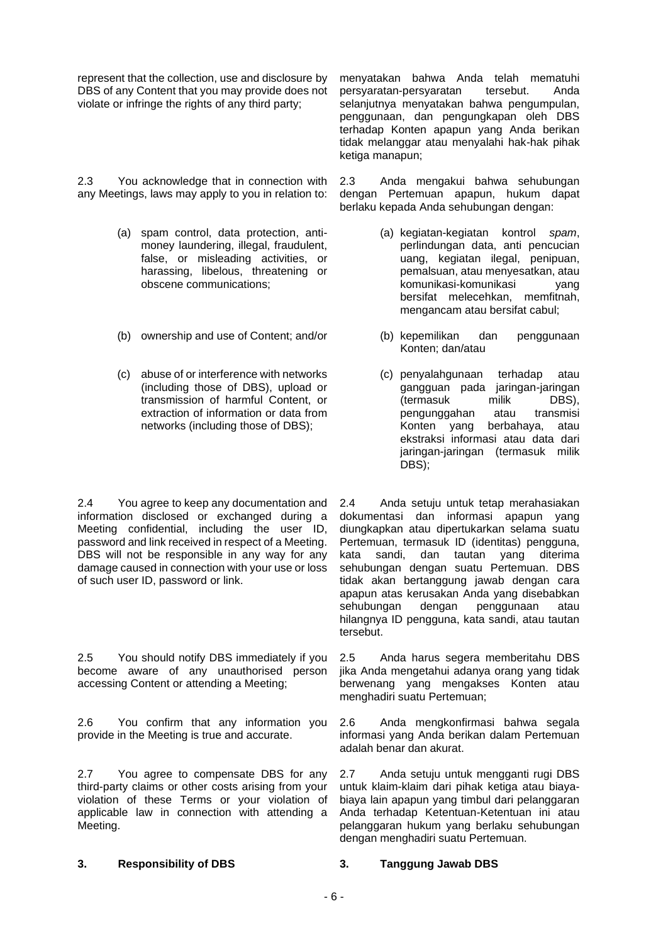represent that the collection, use and disclosure by DBS of any Content that you may provide does not violate or infringe the rights of any third party;

2.3 You acknowledge that in connection with any Meetings, laws may apply to you in relation to:

- (a) spam control, data protection, antimoney laundering, illegal, fraudulent, false, or misleading activities, or harassing, libelous, threatening or obscene communications;
- (b) ownership and use of Content; and/or (b) kepemilikan dan penggunaan
- (c) abuse of or interference with networks (including those of DBS), upload or transmission of harmful Content, or extraction of information or data from networks (including those of DBS);

2.4 You agree to keep any documentation and information disclosed or exchanged during a Meeting confidential, including the user ID, password and link received in respect of a Meeting. DBS will not be responsible in any way for any damage caused in connection with your use or loss of such user ID, password or link.

2.5 You should notify DBS immediately if you become aware of any unauthorised person accessing Content or attending a Meeting;

2.6 You confirm that any information you provide in the Meeting is true and accurate.

2.7 You agree to compensate DBS for any third-party claims or other costs arising from your violation of these Terms or your violation of applicable law in connection with attending a Meeting.

menyatakan bahwa Anda telah mematuhi persyaratan-persyaratan tersebut. Anda selanjutnya menyatakan bahwa pengumpulan, penggunaan, dan pengungkapan oleh DBS terhadap Konten apapun yang Anda berikan tidak melanggar atau menyalahi hak-hak pihak ketiga manapun;

2.3 Anda mengakui bahwa sehubungan dengan Pertemuan apapun, hukum dapat berlaku kepada Anda sehubungan dengan:

- (a) kegiatan-kegiatan kontrol *spam*, perlindungan data, anti pencucian uang, kegiatan ilegal, penipuan, pemalsuan, atau menyesatkan, atau komunikasi-komunikasi yang bersifat melecehkan, memfitnah, mengancam atau bersifat cabul;
- Konten; dan/atau
- (c) penyalahgunaan terhadap atau gangguan pada jaringan-jaringan (termasuk milik DBS), pengunggahan atau transmisi Konten yang berbahaya, atau ekstraksi informasi atau data dari jaringan-jaringan (termasuk milik DBS);

2.4 Anda setuju untuk tetap merahasiakan dokumentasi dan informasi apapun yang diungkapkan atau dipertukarkan selama suatu Pertemuan, termasuk ID (identitas) pengguna, kata sandi, dan tautan yang diterima sehubungan dengan suatu Pertemuan. DBS tidak akan bertanggung jawab dengan cara apapun atas kerusakan Anda yang disebabkan sehubungan dengan penggunaan atau hilangnya ID pengguna, kata sandi, atau tautan tersebut.

2.5 Anda harus segera memberitahu DBS jika Anda mengetahui adanya orang yang tidak berwenang yang mengakses Konten atau menghadiri suatu Pertemuan;

2.6 Anda mengkonfirmasi bahwa segala informasi yang Anda berikan dalam Pertemuan adalah benar dan akurat.

2.7 Anda setuju untuk mengganti rugi DBS untuk klaim-klaim dari pihak ketiga atau biayabiaya lain apapun yang timbul dari pelanggaran Anda terhadap Ketentuan-Ketentuan ini atau pelanggaran hukum yang berlaku sehubungan dengan menghadiri suatu Pertemuan.

### **3. Responsibility of DBS 3. Tanggung Jawab DBS**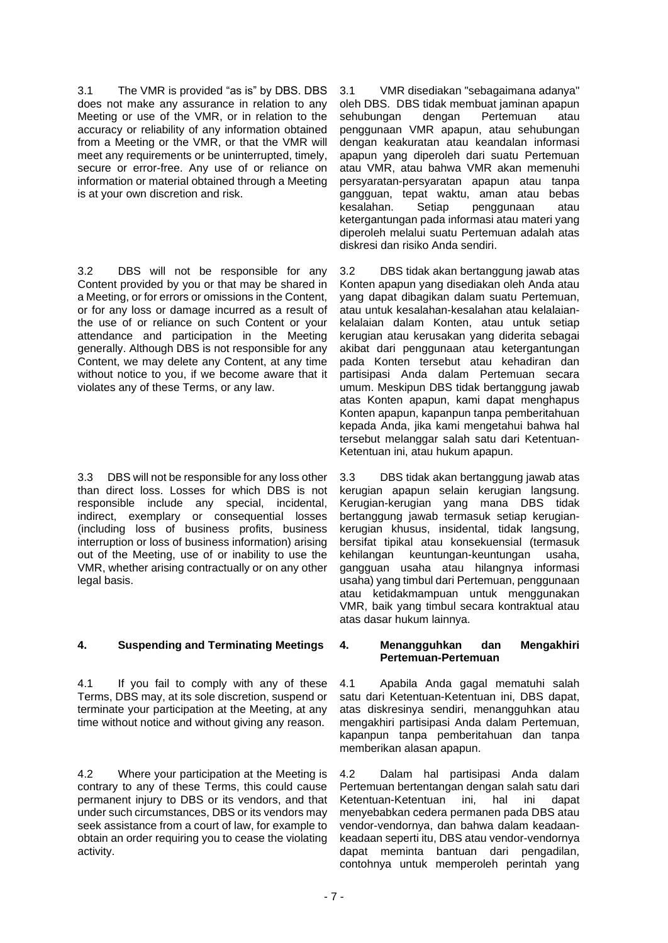3.1 The VMR is provided "as is" by DBS. DBS does not make any assurance in relation to any Meeting or use of the VMR, or in relation to the accuracy or reliability of any information obtained from a Meeting or the VMR, or that the VMR will meet any requirements or be uninterrupted, timely, secure or error-free. Any use of or reliance on information or material obtained through a Meeting is at your own discretion and risk.

3.2 DBS will not be responsible for any Content provided by you or that may be shared in a Meeting, or for errors or omissions in the Content, or for any loss or damage incurred as a result of the use of or reliance on such Content or your attendance and participation in the Meeting generally. Although DBS is not responsible for any Content, we may delete any Content, at any time without notice to you, if we become aware that it violates any of these Terms, or any law.

3.3 DBS will not be responsible for any loss other than direct loss. Losses for which DBS is not responsible include any special, incidental, indirect, exemplary or consequential losses (including loss of business profits, business interruption or loss of business information) arising out of the Meeting, use of or inability to use the VMR, whether arising contractually or on any other legal basis.

## **4. Suspending and Terminating Meetings 4. Menangguhkan dan Mengakhiri**

4.1 If you fail to comply with any of these Terms, DBS may, at its sole discretion, suspend or terminate your participation at the Meeting, at any time without notice and without giving any reason.

4.2 Where your participation at the Meeting is contrary to any of these Terms, this could cause permanent injury to DBS or its vendors, and that under such circumstances, DBS or its vendors may seek assistance from a court of law, for example to obtain an order requiring you to cease the violating activity.

3.1 VMR disediakan "sebagaimana adanya" oleh DBS. DBS tidak membuat jaminan apapun<br>sehubungan dengan Pertemuan atau sehubungan dengan Pertemuan atau penggunaan VMR apapun, atau sehubungan dengan keakuratan atau keandalan informasi apapun yang diperoleh dari suatu Pertemuan atau VMR, atau bahwa VMR akan memenuhi persyaratan-persyaratan apapun atau tanpa gangguan, tepat waktu, aman atau bebas kesalahan. Setiap penggunaan atau ketergantungan pada informasi atau materi yang diperoleh melalui suatu Pertemuan adalah atas diskresi dan risiko Anda sendiri.

3.2 DBS tidak akan bertanggung jawab atas Konten apapun yang disediakan oleh Anda atau yang dapat dibagikan dalam suatu Pertemuan, atau untuk kesalahan-kesalahan atau kelalaiankelalaian dalam Konten, atau untuk setiap kerugian atau kerusakan yang diderita sebagai akibat dari penggunaan atau ketergantungan pada Konten tersebut atau kehadiran dan partisipasi Anda dalam Pertemuan secara umum. Meskipun DBS tidak bertanggung jawab atas Konten apapun, kami dapat menghapus Konten apapun, kapanpun tanpa pemberitahuan kepada Anda, jika kami mengetahui bahwa hal tersebut melanggar salah satu dari Ketentuan-Ketentuan ini, atau hukum apapun.

3.3 DBS tidak akan bertanggung jawab atas kerugian apapun selain kerugian langsung. Kerugian-kerugian yang mana DBS tidak bertanggung jawab termasuk setiap kerugiankerugian khusus, insidental, tidak langsung, bersifat tipikal atau konsekuensial (termasuk kehilangan keuntungan-keuntungan usaha, gangguan usaha atau hilangnya informasi usaha) yang timbul dari Pertemuan, penggunaan atau ketidakmampuan untuk menggunakan VMR, baik yang timbul secara kontraktual atau atas dasar hukum lainnya.

# **Pertemuan-Pertemuan**

4.1 Apabila Anda gagal mematuhi salah satu dari Ketentuan-Ketentuan ini, DBS dapat, atas diskresinya sendiri, menangguhkan atau mengakhiri partisipasi Anda dalam Pertemuan, kapanpun tanpa pemberitahuan dan tanpa memberikan alasan apapun.

4.2 Dalam hal partisipasi Anda dalam Pertemuan bertentangan dengan salah satu dari Ketentuan-Ketentuan ini, hal ini dapat menyebabkan cedera permanen pada DBS atau vendor-vendornya, dan bahwa dalam keadaankeadaan seperti itu, DBS atau vendor-vendornya dapat meminta bantuan dari pengadilan, contohnya untuk memperoleh perintah yang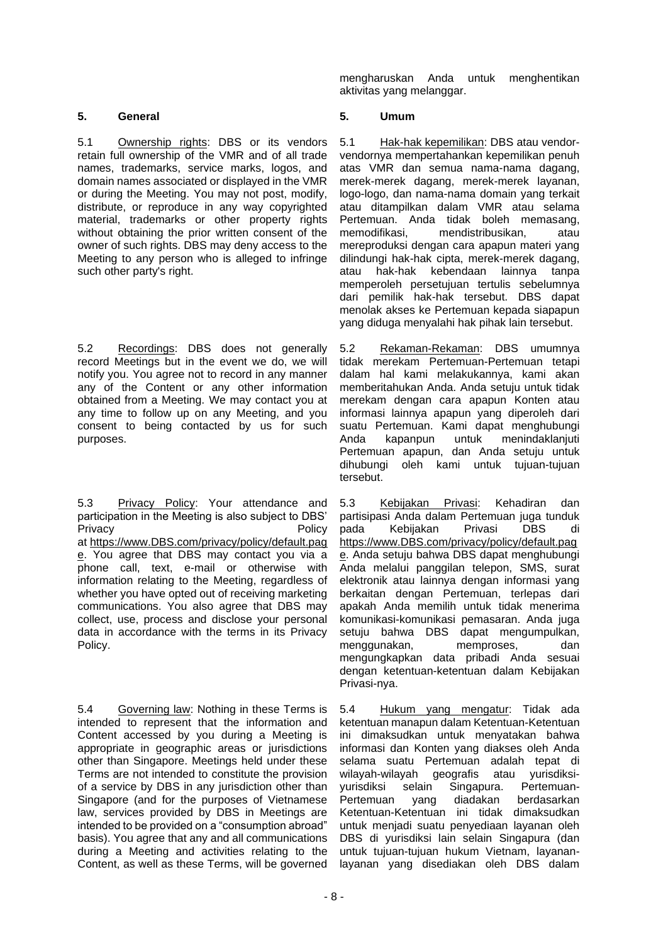## **5. General 5. Umum**

5.1 Ownership rights: DBS or its vendors retain full ownership of the VMR and of all trade names, trademarks, service marks, logos, and domain names associated or displayed in the VMR or during the Meeting. You may not post, modify, distribute, or reproduce in any way copyrighted material, trademarks or other property rights without obtaining the prior written consent of the owner of such rights. DBS may deny access to the Meeting to any person who is alleged to infringe such other party's right.

5.2 Recordings: DBS does not generally record Meetings but in the event we do, we will notify you. You agree not to record in any manner any of the Content or any other information obtained from a Meeting. We may contact you at any time to follow up on any Meeting, and you consent to being contacted by us for such purposes.

5.3 Privacy Policy: Your attendance and participation in the Meeting is also subject to DBS' Privacy **Privacy** Policy **Privacy** at https://www.DBS.com/privacy/policy/default.pag e. You agree that DBS may contact you via a phone call, text, e-mail or otherwise with information relating to the Meeting, regardless of whether you have opted out of receiving marketing communications. You also agree that DBS may collect, use, process and disclose your personal data in accordance with the terms in its Privacy Policy.

5.4 Governing law: Nothing in these Terms is intended to represent that the information and Content accessed by you during a Meeting is appropriate in geographic areas or jurisdictions other than Singapore. Meetings held under these Terms are not intended to constitute the provision of a service by DBS in any jurisdiction other than Singapore (and for the purposes of Vietnamese law, services provided by DBS in Meetings are intended to be provided on a "consumption abroad" basis). You agree that any and all communications during a Meeting and activities relating to the Content, as well as these Terms, will be governed

mengharuskan Anda untuk menghentikan aktivitas yang melanggar.

5.1 Hak-hak kepemilikan: DBS atau vendorvendornya mempertahankan kepemilikan penuh atas VMR dan semua nama-nama dagang, merek-merek dagang, merek-merek layanan, logo-logo, dan nama-nama domain yang terkait atau ditampilkan dalam VMR atau selama Pertemuan. Anda tidak boleh memasang, memodifikasi, mendistribusikan, atau mereproduksi dengan cara apapun materi yang dilindungi hak-hak cipta, merek-merek dagang, atau hak-hak kebendaan lainnya tanpa memperoleh persetujuan tertulis sebelumnya dari pemilik hak-hak tersebut. DBS dapat menolak akses ke Pertemuan kepada siapapun yang diduga menyalahi hak pihak lain tersebut.

5.2 Rekaman-Rekaman: DBS umumnya tidak merekam Pertemuan-Pertemuan tetapi dalam hal kami melakukannya, kami akan memberitahukan Anda. Anda setuju untuk tidak merekam dengan cara apapun Konten atau informasi lainnya apapun yang diperoleh dari suatu Pertemuan. Kami dapat menghubungi Anda kapanpun untuk menindaklanjuti Pertemuan apapun, dan Anda setuju untuk dihubungi oleh kami untuk tujuan-tujuan tersebut.

5.3 Kebijakan Privasi: Kehadiran dan partisipasi Anda dalam Pertemuan juga tunduk pada Kebijakan Privasi DBS di https://www.DBS.com/privacy/policy/default.pag e. Anda setuju bahwa DBS dapat menghubungi Anda melalui panggilan telepon, SMS, surat elektronik atau lainnya dengan informasi yang berkaitan dengan Pertemuan, terlepas dari apakah Anda memilih untuk tidak menerima komunikasi-komunikasi pemasaran. Anda juga setuju bahwa DBS dapat mengumpulkan, menggunakan, memproses, dan mengungkapkan data pribadi Anda sesuai dengan ketentuan-ketentuan dalam Kebijakan Privasi-nya.

5.4 Hukum yang mengatur: Tidak ada ketentuan manapun dalam Ketentuan-Ketentuan ini dimaksudkan untuk menyatakan bahwa informasi dan Konten yang diakses oleh Anda selama suatu Pertemuan adalah tepat di wilayah-wilayah geografis atau yurisdiksiyurisdiksi selain Singapura. Pertemuanyang diadakan berdasarkan Ketentuan-Ketentuan ini tidak dimaksudkan untuk menjadi suatu penyediaan layanan oleh DBS di yurisdiksi lain selain Singapura (dan untuk tujuan-tujuan hukum Vietnam, layananlayanan yang disediakan oleh DBS dalam